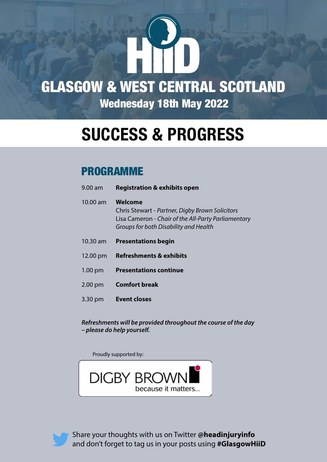# Wednesday 18th May 2022 GLASGOW & WEST CENTRAL SCOTLAND

# **SUCCESS & PROGRESS**

### PROGRAMME

| $9.00 \text{ am}$ | <b>Registration &amp; exhibits open</b>                                                                                                                    |
|-------------------|------------------------------------------------------------------------------------------------------------------------------------------------------------|
| $10.00$ am        | Welcome<br>Chris Stewart - Partner, Digby Brown Solicitors<br>Lisa Cameron - Chair of the All-Party Parliamentary<br>Groups for both Disability and Health |
| $10.30$ am        | <b>Presentations begin</b>                                                                                                                                 |
| 12.00 pm          | <b>Refreshments &amp; exhibits</b>                                                                                                                         |
| $1.00 \text{ pm}$ | <b>Presentations continue</b>                                                                                                                              |
| $2.00$ pm         | <b>Comfort break</b>                                                                                                                                       |
| 3.30 pm           | Event closes                                                                                                                                               |
|                   |                                                                                                                                                            |

*Refreshments will be provided throughout the course of the day – please do help yourself.*

Proudly supported by:





Share your thoughts with us on Twitter **@headinjuryinfo** and don't forget to tag us in your posts using **#GlasgowHiiD**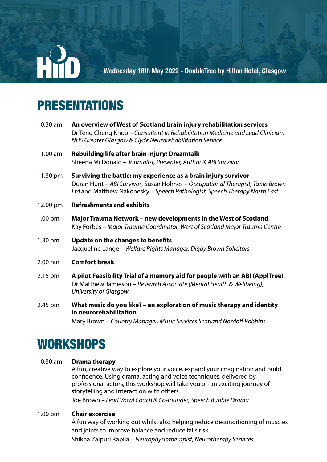

H D **Wednesday 18th May 2022 - DoubleTree by Hilton Hotel, Glasgow**

# PRESENTATIONS

- 10.30 am **An overview of West of Scotland brain injury rehabilitation services** Dr Teng Cheng Khoo – *Consultant in Rehabilitation Medicine and Lead Clinician, NHS Greater Glasgow & Clyde Neurorehabilitation Service*
- 11.00 am **Rebuilding life after brain injury: Dreamtalk** Sheena McDonald – *Journalist, Presenter, Author & ABI Survivor*
- 11.30 pm **Surviving the battle: my experience as a brain injury survivor** Duran Hunt – *ABI Survivor*, Susan Holmes – *Occupational Therapist, Tania Brown Ltd* and Matthew Nakonesky – *Speech Pathologist, Speech Therapy North East*
- 12.00 pm **Refreshments and exhibits**
- 1.00 pm **Major Trauma Network new developments in the West of Scotland** Kay Forbes – *Major Trauma Coordinator, West of Scotland Major Trauma Centre*
- 1.30 pm **Update on the changes to benefits**  Jacqueline Lange – *Welfare Rights Manager, Digby Brown Solicitors*
- 2.00 pm **Comfort break**
- 2.15 pm **A pilot Feasibility Trial of a memory aid for people with an ABI (ApplTree)** Dr Matthew Jamieson – *Research Associate (Mental Health & Wellbeing), University of Glasgow*
- 2.45 pm **What music do you like? an exploration of music therapy and identity in neurorehabilitation**

Mary Brown – *Country Manager, Music Services Scotland Nordoff Robbins*

### **WORKSHOPS**

#### 10.30 am **Drama therapy**

A fun, creative way to explore your voice, expand your imagination and build confidence. Using drama, acting and voice techniques, delivered by professional actors, this workshop will take you on an exciting journey of storytelling and interaction with others.

Joe Brown – *Lead Vocal Coach & Co-founder, Speech Bubble Drama*

#### 1.00 pm **Chair excercise**

A fun way of working out whilst also helping reduce deconditioning of muscles and joints to improve balance and reduce falls risk.

Shikha Zalpuri Kapila – *Neurophysiotherapist, Neurotherapy Services*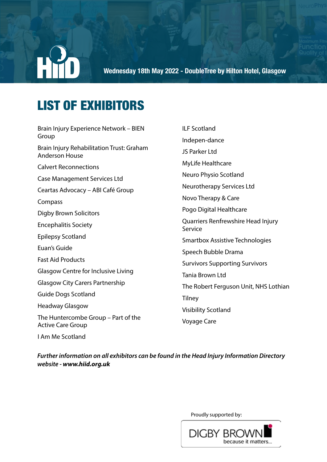

**Wednesday 18th May 2022 - DoubleTree by Hilton Hotel, Glasgow** 

# LIST OF EXHIBITORS

Brain Injury Experience Network – BIEN Group Brain Injury Rehabilitation Trust: Graham Anderson House Calvert Reconnections Case Management Services Ltd Ceartas Advocacy – ABI Café Group **Compass** Digby Brown Solicitors Encephalitis Society Epilepsy Scotland Euan's Guide Fast Aid Products Glasgow Centre for Inclusive Living Glasgow City Carers Partnership Guide Dogs Scotland Headway Glasgow The Huntercombe Group – Part of the Active Care Group I Am Me Scotland

ILF Scotland Indepen-dance JS Parker Ltd MyLife Healthcare Neuro Physio Scotland Neurotherapy Services Ltd Novo Therapy & Care Pogo Digital Healthcare Quarriers Renfrewshire Head Injury Service Smartbox Assistive Technologies Speech Bubble Drama Survivors Supporting Survivors Tania Brown Ltd The Robert Ferguson Unit, NHS Lothian **Tilney** Visibility Scotland Voyage Care

*Further information on all exhibitors can be found in the Head Injury Information Directory website - www.hiid.org.uk*

Proudly supported by: